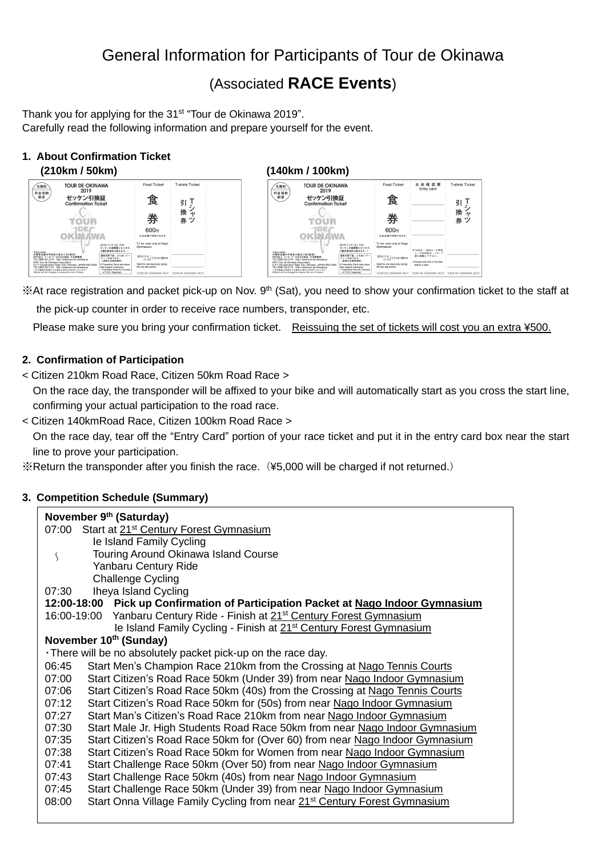# General Information for Participants of Tour de Okinawa

# (Associated **RACE Events**)

Thank you for applying for the 31<sup>st</sup> "Tour de Okinawa 2019". Carefully read the following information and prepare yourself for the event.

# **1. About Confirmation Ticket**



<sup>※</sup>At race registration and packet pick-up on Nov. 9<sup>th</sup> (Sat), you need to show your confirmation ticket to the staff at the pick-up counter in order to receive race numbers, transponder, etc.

Please make sure you bring your confirmation ticket. Reissuing the set of tickets will cost you an extra ¥500.

# **2. Confirmation of Participation**

< Citizen 210km Road Race, Citizen 50km Road Race >

On the race day, the transponder will be affixed to your bike and will automatically start as you cross the start line, confirming your actual participation to the road race.

< Citizen 140kmRoad Race, Citizen 100km Road Race >

On the race day, tear off the "Entry Card" portion of your race ticket and put it in the entry card box near the start line to prove your participation.

 $\%$ Return the transponder after you finish the race. (¥5,000 will be charged if not returned.)

# **3. Competition Schedule (Summary)**

| November 9th (Saturday)                                                                        |  |  |  |  |
|------------------------------------------------------------------------------------------------|--|--|--|--|
| 07:00 Start at 21 <sup>st</sup> Century Forest Gymnasium                                       |  |  |  |  |
| le Island Family Cycling                                                                       |  |  |  |  |
| Touring Around Okinawa Island Course<br>S                                                      |  |  |  |  |
| <b>Yanbaru Century Ride</b>                                                                    |  |  |  |  |
| <b>Challenge Cycling</b>                                                                       |  |  |  |  |
| Iheya Island Cycling<br>07:30                                                                  |  |  |  |  |
| 12:00-18:00 Pick up Confirmation of Participation Packet at Nago Indoor Gymnasium              |  |  |  |  |
| 16:00-19:00 Yanbaru Century Ride - Finish at 21 <sup>st</sup> Century Forest Gymnasium         |  |  |  |  |
| le Island Family Cycling - Finish at 21 <sup>st</sup> Century Forest Gymnasium                 |  |  |  |  |
| November 10th (Sunday)                                                                         |  |  |  |  |
| . There will be no absolutely packet pick-up on the race day.                                  |  |  |  |  |
| Start Men's Champion Race 210km from the Crossing at Nago Tennis Courts<br>06:45               |  |  |  |  |
| Start Citizen's Road Race 50km (Under 39) from near Nago Indoor Gymnasium<br>07:00             |  |  |  |  |
| Start Citizen's Road Race 50km (40s) from the Crossing at Nago Tennis Courts<br>07:06          |  |  |  |  |
| Start Citizen's Road Race 50km for (50s) from near Nago Indoor Gymnasium<br>07:12              |  |  |  |  |
| 07:27<br>Start Man's Citizen's Road Race 210km from near Nago Indoor Gymnasium                 |  |  |  |  |
| 07:30<br>Start Male Jr. High Students Road Race 50km from near Nago Indoor Gymnasium           |  |  |  |  |
| Start Citizen's Road Race 50km for (Over 60) from near Nago Indoor Gymnasium<br>07:35          |  |  |  |  |
| Start Citizen's Road Race 50km for Women from near Nago Indoor Gymnasium<br>07:38              |  |  |  |  |
| Start Challenge Race 50km (Over 50) from near Nago Indoor Gymnasium<br>07:41                   |  |  |  |  |
| Start Challenge Race 50km (40s) from near Nago Indoor Gymnasium<br>07:43                       |  |  |  |  |
| 07:45<br>Start Challenge Race 50km (Under 39) from near Nago Indoor Gymnasium                  |  |  |  |  |
| Start Onna Village Family Cycling from near 21 <sup>st</sup> Century Forest Gymnasium<br>08:00 |  |  |  |  |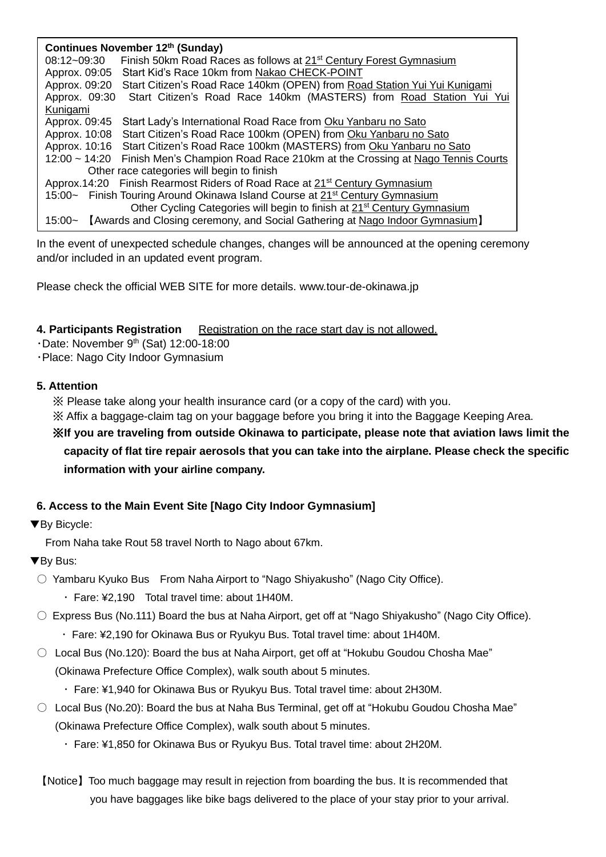| Continues November 12th (Sunday) |                                                                                          |  |  |  |
|----------------------------------|------------------------------------------------------------------------------------------|--|--|--|
| 08:12~09:30                      | Finish 50km Road Races as follows at 21 <sup>st</sup> Century Forest Gymnasium           |  |  |  |
| Approx. 09:05                    | Start Kid's Race 10km from Nakao CHECK-POINT                                             |  |  |  |
| Approx. 09:20                    | Start Citizen's Road Race 140km (OPEN) from Road Station Yui Yui Kunigami                |  |  |  |
| Approx. 09:30                    | Start Citizen's Road Race 140km (MASTERS) from Road Station Yui Yui                      |  |  |  |
| Kunigami                         |                                                                                          |  |  |  |
| Approx. 09:45                    | Start Lady's International Road Race from Oku Yanbaru no Sato                            |  |  |  |
| Approx. 10:08                    | Start Citizen's Road Race 100km (OPEN) from Oku Yanbaru no Sato                          |  |  |  |
|                                  | Approx. 10:16 Start Citizen's Road Race 100km (MASTERS) from Oku Yanbaru no Sato         |  |  |  |
| $12:00 - 14:20$                  | Finish Men's Champion Road Race 210km at the Crossing at Nago Tennis Courts              |  |  |  |
|                                  | Other race categories will begin to finish                                               |  |  |  |
|                                  | Approx.14:20 Finish Rearmost Riders of Road Race at 21 <sup>st</sup> Century Gymnasium   |  |  |  |
|                                  | 15:00~ Finish Touring Around Okinawa Island Course at 21 <sup>st</sup> Century Gymnasium |  |  |  |
|                                  | Other Cycling Categories will begin to finish at 21 <sup>st</sup> Century Gymnasium      |  |  |  |
|                                  | 15:00~ [Awards and Closing ceremony, and Social Gathering at Nago Indoor Gymnasium]      |  |  |  |

In the event of unexpected schedule changes, changes will be announced at the opening ceremony and/or included in an updated event program.

Please check the official WEB SITE for more details. www.tour-de-okinawa.jp

**4. Participants Registration Registration on the race start day is not allowed.** 

 $\cdot$ Date: November 9<sup>th</sup> (Sat) 12:00-18:00

・Place: Nago City Indoor Gymnasium

# **5. Attention**

※ Please take along your health insurance card (or a copy of the card) with you.

※ Affix a baggage-claim tag on your baggage before you bring it into the Baggage Keeping Area.

※**If you are traveling from outside Okinawa to participate, please note that aviation laws limit the capacity of flat tire repair aerosols that you can take into the airplane. Please check the specific information with your airline company.**

# **6. Access to the Main Event Site [Nago City Indoor Gymnasium]**

▼By Bicycle:

From Naha take Rout 58 travel North to Nago about 67km.

▼By Bus:

○ Yambaru Kyuko Bus From Naha Airport to "Nago Shiyakusho" (Nago City Office).

・ Fare: ¥2,190 Total travel time: about 1H40M.

 $\circ$  Express Bus (No.111) Board the bus at Naha Airport, get off at "Nago Shiyakusho" (Nago City Office).

- ・ Fare: ¥2,190 for Okinawa Bus or Ryukyu Bus. Total travel time: about 1H40M.
- $\circ$  Local Bus (No.120): Board the bus at Naha Airport, get off at "Hokubu Goudou Chosha Mae" (Okinawa Prefecture Office Complex), walk south about 5 minutes.
	- ・ Fare: ¥1,940 for Okinawa Bus or Ryukyu Bus. Total travel time: about 2H30M.
- $\circ$  Local Bus (No.20): Board the bus at Naha Bus Terminal, get off at "Hokubu Goudou Chosha Mae" (Okinawa Prefecture Office Complex), walk south about 5 minutes.
	- ・ Fare: ¥1,850 for Okinawa Bus or Ryukyu Bus. Total travel time: about 2H20M.
- 【Notice】Too much baggage may result in rejection from boarding the bus. It is recommended that you have baggages like bike bags delivered to the place of your stay prior to your arrival.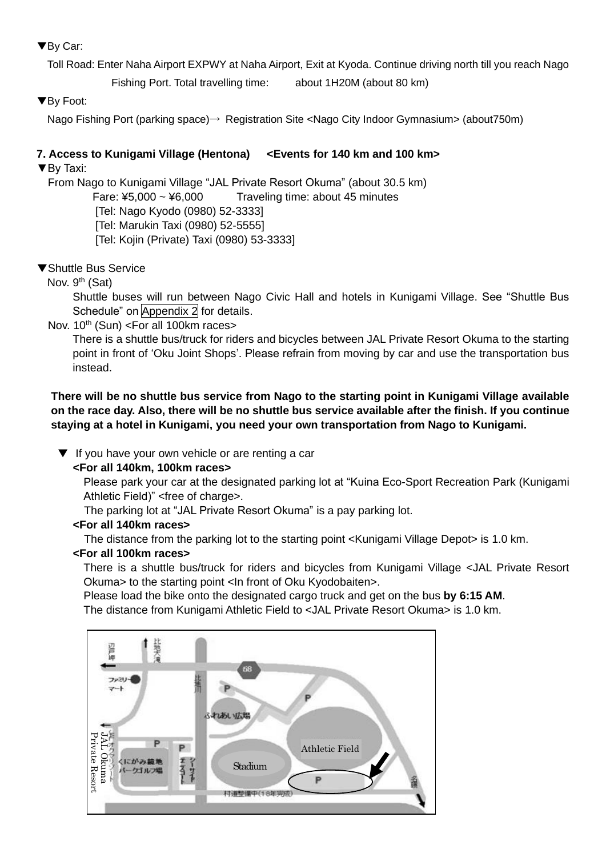# ▼By Car:

Toll Road: Enter Naha Airport EXPWY at Naha Airport, Exit at Kyoda. Continue driving north till you reach Nago

Fishing Port. Total travelling time: about 1H20M (about 80 km)

▼By Foot:

Nago Fishing Port (parking space)→ Registration Site <Nago City Indoor Gymnasium> (about750m)

# **7. Access to Kunigami Village (Hentona) <Events for 140 km and 100 km>**

▼By Taxi:

From Nago to Kunigami Village "JAL Private Resort Okuma" (about 30.5 km)

Fare:  $45,000 \sim 46,000$  Traveling time: about 45 minutes

[Tel: Nago Kyodo (0980) 52-3333]

[Tel: Marukin Taxi (0980) 52-5555]

[Tel: Kojin (Private) Taxi (0980) 53-3333]

▼Shuttle Bus Service

Nov. 9<sup>th</sup> (Sat)

Shuttle buses will run between Nago Civic Hall and hotels in Kunigami Village. See "Shuttle Bus Schedule" on Appendix 2 for details.

Nov.  $10^{th}$  (Sun) <For all 100km races>

There is a shuttle bus/truck for riders and bicycles between JAL Private Resort Okuma to the starting point in front of 'Oku Joint Shops'. Please refrain from moving by car and use the transportation bus instead.

**There will be no shuttle bus service from Nago to the starting point in Kunigami Village available on the race day. Also, there will be no shuttle bus service available after the finish. If you continue staying at a hotel in Kunigami, you need your own transportation from Nago to Kunigami.**

▼ If you have your own vehicle or are renting a car

**<For all 140km, 100km races>**

Please park your car at the designated parking lot at "Kuina Eco-Sport Recreation Park (Kunigami Athletic Field)" <free of charge>.

The parking lot at "JAL Private Resort Okuma" is a pay parking lot.

# **<For all 140km races>**

The distance from the parking lot to the starting point <Kunigami Village Depot> is 1.0 km.

# **<For all 100km races>**

There is a shuttle bus/truck for riders and bicycles from Kunigami Village <JAL Private Resort Okuma> to the starting point <In front of Oku Kyodobaiten>.

Please load the bike onto the designated cargo truck and get on the bus **by 6:15 AM**. The distance from Kunigami Athletic Field to <JAL Private Resort Okuma> is 1.0 km.

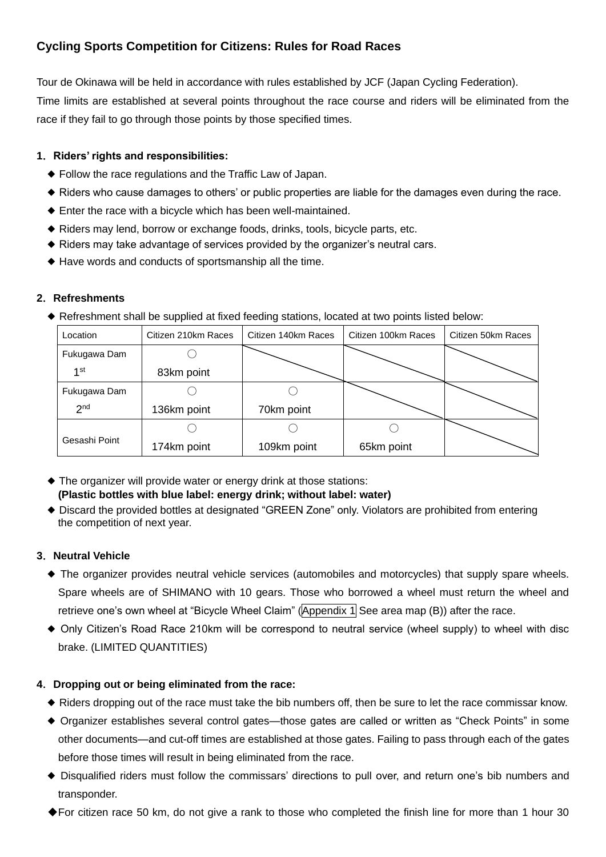# **Cycling Sports Competition for Citizens: Rules for Road Races**

Tour de Okinawa will be held in accordance with rules established by JCF (Japan Cycling Federation).

Time limits are established at several points throughout the race course and riders will be eliminated from the race if they fail to go through those points by those specified times.

# **1**.**Riders' rights and responsibilities:**

- ◆ Follow the race regulations and the Traffic Law of Japan.
- ◆ Riders who cause damages to others' or public properties are liable for the damages even during the race.
- ◆ Enter the race with a bicycle which has been well-maintained.
- ◆ Riders may lend, borrow or exchange foods, drinks, tools, bicycle parts, etc.
- ◆ Riders may take advantage of services provided by the organizer's neutral cars.
- ◆ Have words and conducts of sportsmanship all the time.

# **2**.**Refreshments**

◆ Refreshment shall be supplied at fixed feeding stations, located at two points listed below:

| Location        | Citizen 210km Races | Citizen 140km Races | Citizen 100km Races | Citizen 50km Races |
|-----------------|---------------------|---------------------|---------------------|--------------------|
| Fukugawa Dam    |                     |                     |                     |                    |
| 1st             | 83km point          |                     |                     |                    |
| Fukugawa Dam    |                     |                     |                     |                    |
| 2 <sub>nd</sub> | 136km point         | 70km point          |                     |                    |
|                 |                     |                     |                     |                    |
| Gesashi Point   | 174km point         | 109km point         | 65km point          |                    |

- ◆ The organizer will provide water or energy drink at those stations: **(Plastic bottles with blue label: energy drink; without label: water)**
- ◆ Discard the provided bottles at designated "GREEN Zone" only. Violators are prohibited from entering the competition of next year.

# **3**.**Neutral Vehicle**

- ◆ The organizer provides neutral vehicle services (automobiles and motorcycles) that supply spare wheels. Spare wheels are of SHIMANO with 10 gears. Those who borrowed a wheel must return the wheel and retrieve one's own wheel at "Bicycle Wheel Claim" (Appendix 1 See area map (B)) after the race.
- ◆ Only Citizen's Road Race 210km will be correspond to neutral service (wheel supply) to wheel with disc brake. (LIMITED QUANTITIES)

# **4**.**Dropping out or being eliminated from the race:**

- ◆ Riders dropping out of the race must take the bib numbers off, then be sure to let the race commissar know.
- ◆ Organizer establishes several control gates—those gates are called or written as "Check Points" in some other documents—and cut-off times are established at those gates. Failing to pass through each of the gates before those times will result in being eliminated from the race.
- ◆ Disqualified riders must follow the commissars' directions to pull over, and return one's bib numbers and transponder.
- ◆For citizen race 50 km, do not give a rank to those who completed the finish line for more than 1 hour 30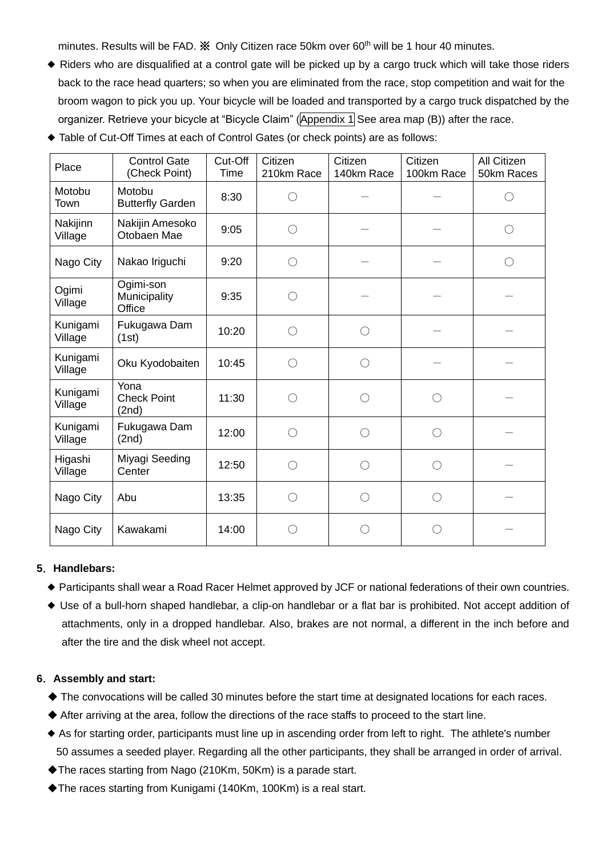minutes. Results will be FAD. **We Only Citizen race 50km over 60<sup>th</sup> will be 1 hour 40 minutes.** 

- ◆ Riders who are disqualified at a control gate will be picked up by a cargo truck which will take those riders back to the race head quarters; so when you are eliminated from the race, stop competition and wait for the broom wagon to pick you up. Your bicycle will be loaded and transported by a cargo truck dispatched by the organizer. Retrieve your bicycle at "Bicycle Claim" (Appendix 1 See area map (B)) after the race.
- ◆ Table of Cut-Off Times at each of Control Gates (or check points) are as follows:

| Place               | <b>Control Gate</b><br>(Check Point) | Cut-Off<br><b>Time</b> | Citizen<br>210km Race | Citizen<br>140km Race | Citizen<br>100km Race | All Citizen<br>50km Races |
|---------------------|--------------------------------------|------------------------|-----------------------|-----------------------|-----------------------|---------------------------|
| Motobu<br>Town      | Motobu<br><b>Butterfly Garden</b>    | 8:30                   | O                     |                       |                       |                           |
| Nakijinn<br>Village | Nakijin Amesoko<br>Otobaen Mae       | 9:05                   | ∩                     |                       |                       |                           |
| Nago City           | Nakao Iriguchi                       | 9:20                   | $\bigcirc$            |                       |                       |                           |
| Ogimi<br>Village    | Ogimi-son<br>Municipality<br>Office  | 9:35                   | O                     |                       |                       |                           |
| Kunigami<br>Village | Fukugawa Dam<br>(1st)                | 10:20                  | ∩                     | ∩                     |                       |                           |
| Kunigami<br>Village | Oku Kyodobaiten                      | 10:45                  | ∩                     | ∩                     |                       |                           |
| Kunigami<br>Village | Yona<br><b>Check Point</b><br>(2nd)  | 11:30                  | ∩                     | ∩                     | ∩                     |                           |
| Kunigami<br>Village | Fukugawa Dam<br>(2nd)                | 12:00                  | ◯                     | ∩                     | $\bigcirc$            |                           |
| Higashi<br>Village  | Miyagi Seeding<br>Center             | 12:50                  | ◯                     | ∩                     | $\bigcirc$            |                           |
| Nago City           | Abu                                  | 13:35                  | $\bigcirc$            | ∩                     | ∩                     |                           |
| Nago City           | Kawakami                             | 14:00                  | $( \ )$               | $( \ )$               | $( \ )$               |                           |

#### **5**.**Handlebars:**

- ◆ Participants shall wear a Road Racer Helmet approved by JCF or national federations of their own countries.
- ◆ Use of a bull-horn shaped handlebar, a clip-on handlebar or a flat bar is prohibited. Not accept addition of attachments, only in a dropped handlebar. Also, brakes are not normal, a different in the inch before and after the tire and the disk wheel not accept.

# **6**.**Assembly and start:**

- ◆ The convocations will be called 30 minutes before the start time at designated locations for each races.
- ◆ After arriving at the area, follow the directions of the race staffs to proceed to the start line.
- ◆ As for starting order, participants must line up in ascending order from left to right. The athlete's number 50 assumes a seeded player. Regarding all the other participants, they shall be arranged in order of arrival.
- ◆The races starting from Nago (210Km, 50Km) is a parade start.
- ◆The races starting from Kunigami (140Km, 100Km) is a real start.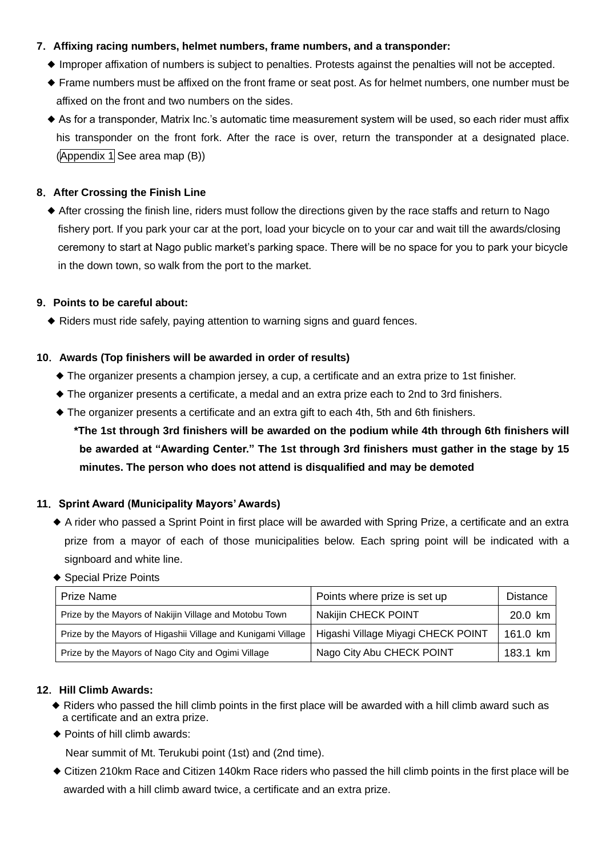# **7**.**Affixing racing numbers, helmet numbers, frame numbers, and a transponder:**

- ◆ Improper affixation of numbers is subject to penalties. Protests against the penalties will not be accepted.
- ◆ Frame numbers must be affixed on the front frame or seat post. As for helmet numbers, one number must be affixed on the front and two numbers on the sides.
- ◆ As for a transponder, Matrix Inc.'s automatic time measurement system will be used, so each rider must affix his transponder on the front fork. After the race is over, return the transponder at a designated place. (Appendix 1 See area map (B))

# **8**.**After Crossing the Finish Line**

◆ After crossing the finish line, riders must follow the directions given by the race staffs and return to Nago fishery port. If you park your car at the port, load your bicycle on to your car and wait till the awards/closing ceremony to start at Nago public market's parking space. There will be no space for you to park your bicycle in the down town, so walk from the port to the market.

# **9**.**Points to be careful about:**

◆ Riders must ride safely, paying attention to warning signs and guard fences.

# **10**.**Awards (Top finishers will be awarded in order of results)**

- ◆ The organizer presents a champion jersey, a cup, a certificate and an extra prize to 1st finisher.
- ◆ The organizer presents a certificate, a medal and an extra prize each to 2nd to 3rd finishers.
- ◆ The organizer presents a certificate and an extra gift to each 4th, 5th and 6th finishers.
	- **\*The 1st through 3rd finishers will be awarded on the podium while 4th through 6th finishers will be awarded at "Awarding Center." The 1st through 3rd finishers must gather in the stage by 15 minutes. The person who does not attend is disqualified and may be demoted**

# **11**.**Sprint Award (Municipality Mayors' Awards)**

- ◆ A rider who passed a Sprint Point in first place will be awarded with Spring Prize, a certificate and an extra prize from a mayor of each of those municipalities below. Each spring point will be indicated with a signboard and white line.
- ◆ Special Prize Points

| <b>Prize Name</b>                                            | Points where prize is set up       | <b>Distance</b> |
|--------------------------------------------------------------|------------------------------------|-----------------|
| Prize by the Mayors of Nakijin Village and Motobu Town       | <b>Nakijin CHECK POINT</b>         | 20.0 km         |
| Prize by the Mayors of Higashii Village and Kunigami Village | Higashi Village Miyagi CHECK POINT | 161.0 km        |
| Prize by the Mayors of Nago City and Ogimi Village           | Nago City Abu CHECK POINT          | 183.1 km        |

# **12**.**Hill Climb Awards:**

- ◆ Riders who passed the hill climb points in the first place will be awarded with a hill climb award such as a certificate and an extra prize.
- ◆ Points of hill climb awards:

Near summit of Mt. Terukubi point (1st) and (2nd time).

◆ Citizen 210km Race and Citizen 140km Race riders who passed the hill climb points in the first place will be awarded with a hill climb award twice, a certificate and an extra prize.